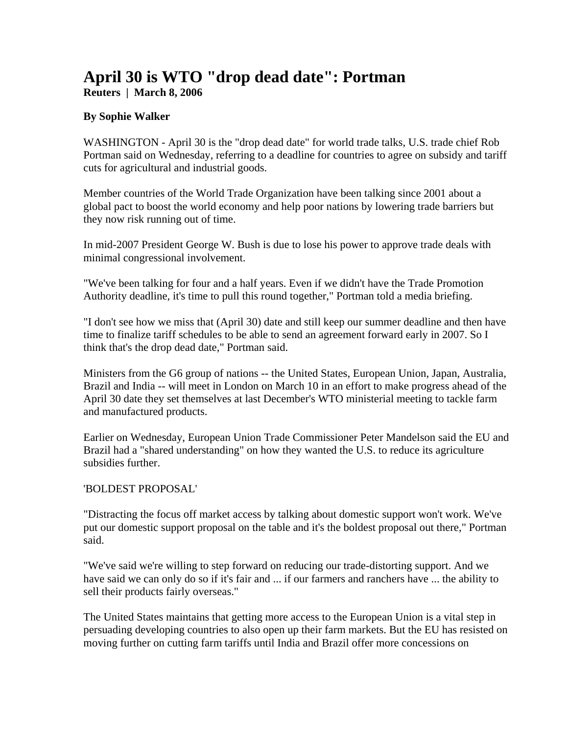## **April 30 is WTO "drop dead date": Portman Reuters | March 8, 2006**

## **By Sophie Walker**

WASHINGTON - April 30 is the "drop dead date" for world trade talks, U.S. trade chief Rob Portman said on Wednesday, referring to a deadline for countries to agree on subsidy and tariff cuts for agricultural and industrial goods.

Member countries of the World Trade Organization have been talking since 2001 about a global pact to boost the world economy and help poor nations by lowering trade barriers but they now risk running out of time.

In mid-2007 President George W. Bush is due to lose his power to approve trade deals with minimal congressional involvement.

"We've been talking for four and a half years. Even if we didn't have the Trade Promotion Authority deadline, it's time to pull this round together," Portman told a media briefing.

"I don't see how we miss that (April 30) date and still keep our summer deadline and then have time to finalize tariff schedules to be able to send an agreement forward early in 2007. So I think that's the drop dead date," Portman said.

Ministers from the G6 group of nations -- the United States, European Union, Japan, Australia, Brazil and India -- will meet in London on March 10 in an effort to make progress ahead of the April 30 date they set themselves at last December's WTO ministerial meeting to tackle farm and manufactured products.

Earlier on Wednesday, European Union Trade Commissioner Peter Mandelson said the EU and Brazil had a "shared understanding" on how they wanted the U.S. to reduce its agriculture subsidies further.

## 'BOLDEST PROPOSAL'

"Distracting the focus off market access by talking about domestic support won't work. We've put our domestic support proposal on the table and it's the boldest proposal out there," Portman said.

"We've said we're willing to step forward on reducing our trade-distorting support. And we have said we can only do so if it's fair and ... if our farmers and ranchers have ... the ability to sell their products fairly overseas."

The United States maintains that getting more access to the European Union is a vital step in persuading developing countries to also open up their farm markets. But the EU has resisted on moving further on cutting farm tariffs until India and Brazil offer more concessions on